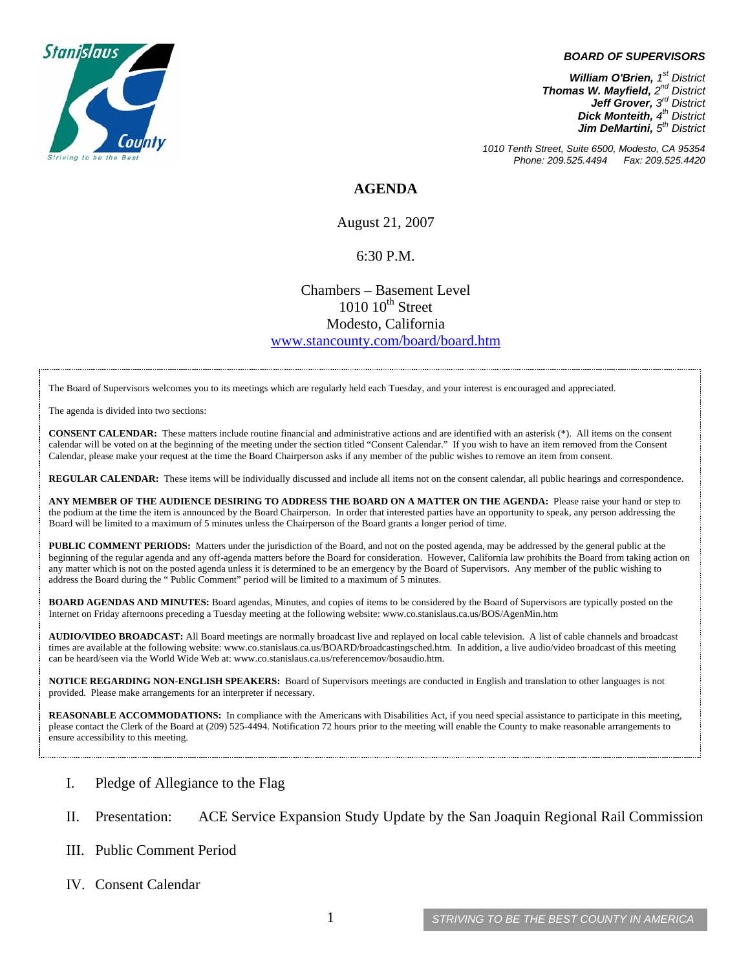

#### *BOARD OF SUPERVISORS*

*William O'Brien, 1st District Thomas W. Mayfield, 2nd District Jeff Grover, 3rd District Dick Monteith, 4th District Jim DeMartini, 5th District*

*1010 Tenth Street, Suite 6500, Modesto, CA 95354 Phone: 209.525.4494 Fax: 209.525.4420* 

### **AGENDA**

August 21, 2007

#### 6:30 P.M.

## Chambers – Basement Level  $1010$   $10^{th}$  Street Modesto, California [www.stancounty.com/board/board.htm](http://www.stancounty.com/board/board.htm)

The Board of Supervisors welcomes you to its meetings which are regularly held each Tuesday, and your interest is encouraged and appreciated.

The agenda is divided into two sections:

**CONSENT CALENDAR:** These matters include routine financial and administrative actions and are identified with an asterisk (\*). All items on the consent calendar will be voted on at the beginning of the meeting under the section titled "Consent Calendar." If you wish to have an item removed from the Consent Calendar, please make your request at the time the Board Chairperson asks if any member of the public wishes to remove an item from consent.

**REGULAR CALENDAR:** These items will be individually discussed and include all items not on the consent calendar, all public hearings and correspondence.

**ANY MEMBER OF THE AUDIENCE DESIRING TO ADDRESS THE BOARD ON A MATTER ON THE AGENDA:** Please raise your hand or step to the podium at the time the item is announced by the Board Chairperson. In order that interested parties have an opportunity to speak, any person addressing the Board will be limited to a maximum of 5 minutes unless the Chairperson of the Board grants a longer period of time.

**PUBLIC COMMENT PERIODS:** Matters under the jurisdiction of the Board, and not on the posted agenda, may be addressed by the general public at the beginning of the regular agenda and any off-agenda matters before the Board for consideration. However, California law prohibits the Board from taking action on any matter which is not on the posted agenda unless it is determined to be an emergency by the Board of Supervisors. Any member of the public wishing to address the Board during the " Public Comment" period will be limited to a maximum of 5 minutes.

**BOARD AGENDAS AND MINUTES:** Board agendas, Minutes, and copies of items to be considered by the Board of Supervisors are typically posted on the Internet on Friday afternoons preceding a Tuesday meeting at the following we[bsite: www.co.stanislaus.ca.us/BOS/AgenMin](http://www.co.stanislaus.ca.us/BOS/AgenMin.htm).htm

**AUDIO/VIDEO BROADCAST:** All Board meetings are normally broadcast live and replayed on local cable television. A list of cable channels and broadcast times are available at the following web[site: www.co.stanislaus.ca.us/BOARD/broadcastingsched.](http://www.co.stanislaus.ca.us/BOARD/broadcastingsched.htm)htm. In addition, a live audio/video broadcast of this meeting can be heard/seen via the World Wide We[b at: www.co.stanislaus.ca.us/referencemov/bosaudio.](http://www.co.stanislaus.ca.us/referencemov/bosaudio.htm)htm.

**NOTICE REGARDING NON-ENGLISH SPEAKERS:** Board of Supervisors meetings are conducted in English and translation to other languages is not provided. Please make arrangements for an interpreter if necessary.

**REASONABLE ACCOMMODATIONS:** In compliance with the Americans with Disabilities Act, if you need special assistance to participate in this meeting, please contact the Clerk of the Board at (209) 525-4494. Notification 72 hours prior to the meeting will enable the County to make reasonable arrangements to ensure accessibility to this meeting.

- I. Pledge of Allegiance to the Flag
- II. Presentation: ACE Service Expansion Study Update by the San Joaquin Regional Rail Commission
- III. Public Comment Period
- IV. Consent Calendar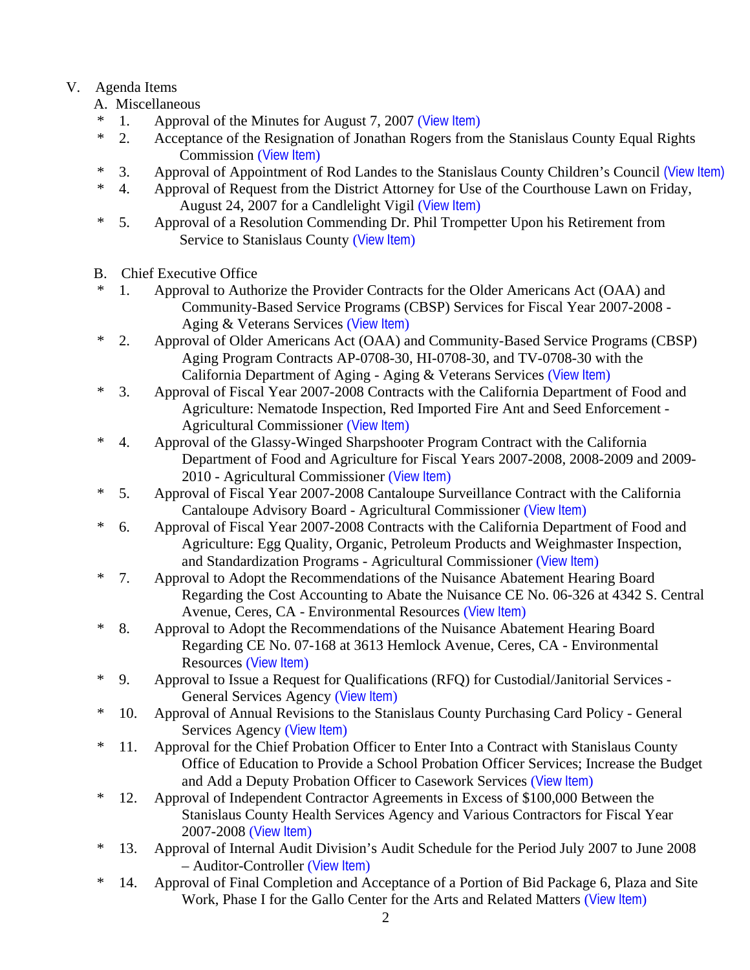# V. Agenda Items

- A. Miscellaneous
- \* 1. Approval of the Minutes for August 7, 2007 ([View Item](http://www.co.stanislaus.ca.us/bos/minutes/2007/min08-07-07.pdf))
- \* 2. Acceptance of the Resignation of Jonathan Rogers from the Stanislaus County Equal Rights Commission ([View Item](http://www.co.stanislaus.ca.us/bos/agenda/2007/20070821/A02.pdf))
- \* 3. Approval of Appointment of Rod Landes to the Stanislaus County Children's Council [\(View Item\)](http://www.co.stanislaus.ca.us/bos/agenda/2007/20070821/A03.pdf)
- \* 4. Approval of Request from the District Attorney for Use of the Courthouse Lawn on Friday, August 24, 2007 for a Candlelight Vigil ([View Item](http://www.co.stanislaus.ca.us/bos/agenda/2007/20070821/A04.pdf))
- \* 5. Approval of a Resolution Commending Dr. Phil Trompetter Upon his Retirement from Service to Stanislaus County ([View Item](http://www.co.stanislaus.ca.us/bos/agenda/2007/20070821/A05.pdf))
- B. Chief Executive Office
- \* 1. Approval to Authorize the Provider Contracts for the Older Americans Act (OAA) and Community-Based Service Programs (CBSP) Services for Fiscal Year 2007-2008 - Aging & Veterans Services ([View Item](http://www.co.stanislaus.ca.us/bos/agenda/2007/20070821/B01.pdf))
- \* 2. Approval of Older Americans Act (OAA) and Community-Based Service Programs (CBSP) Aging Program Contracts AP-0708-30, HI-0708-30, and TV-0708-30 with the California Department of Aging - Aging & Veterans Services ([View Item](http://www.co.stanislaus.ca.us/bos/agenda/2007/20070821/B02.pdf))
- \* 3. Approval of Fiscal Year 2007-2008 Contracts with the California Department of Food and Agriculture: Nematode Inspection, Red Imported Fire Ant and Seed Enforcement - Agricultural Commissioner ([View Item](http://www.co.stanislaus.ca.us/bos/agenda/2007/20070821/B03.pdf))
- \* 4. Approval of the Glassy-Winged Sharpshooter Program Contract with the California Department of Food and Agriculture for Fiscal Years 2007-2008, 2008-2009 and 2009- 2010 - Agricultural Commissioner ([View Item](http://www.co.stanislaus.ca.us/bos/agenda/2007/20070821/B04.pdf))
- \* 5. Approval of Fiscal Year 2007-2008 Cantaloupe Surveillance Contract with the California Cantaloupe Advisory Board - Agricultural Commissioner ([View Item](http://www.co.stanislaus.ca.us/bos/agenda/2007/20070821/B05.pdf))
- \* 6. Approval of Fiscal Year 2007-2008 Contracts with the California Department of Food and Agriculture: Egg Quality, Organic, Petroleum Products and Weighmaster Inspection, and Standardization Programs - Agricultural Commissioner ([View Item](http://www.co.stanislaus.ca.us/bos/agenda/2007/20070821/B06.pdf))
- \* 7. Approval to Adopt the Recommendations of the Nuisance Abatement Hearing Board Regarding the Cost Accounting to Abate the Nuisance CE No. 06-326 at 4342 S. Central Avenue, Ceres, CA - Environmental Resources ([View Item](http://www.co.stanislaus.ca.us/bos/agenda/2007/20070821/B07.pdf))
- \* 8. Approval to Adopt the Recommendations of the Nuisance Abatement Hearing Board Regarding CE No. 07-168 at 3613 Hemlock Avenue, Ceres, CA - Environmental Resources ([View Item](http://www.co.stanislaus.ca.us/bos/agenda/2007/20070821/B08.pdf))
- \* 9. Approval to Issue a Request for Qualifications (RFQ) for Custodial/Janitorial Services General Services Agency ([View Item](http://www.co.stanislaus.ca.us/bos/agenda/2007/20070821/B09.pdf))
- \* 10. Approval of Annual Revisions to the Stanislaus County Purchasing Card Policy General Services Agency ([View Item](http://www.co.stanislaus.ca.us/bos/agenda/2007/20070821/B10.pdf))
- \* 11. Approval for the Chief Probation Officer to Enter Into a Contract with Stanislaus County Office of Education to Provide a School Probation Officer Services; Increase the Budget and Add a Deputy Probation Officer to Casework Services ([View Item](http://www.co.stanislaus.ca.us/bos/agenda/2007/20070821/B11.pdf))
- \* 12. Approval of Independent Contractor Agreements in Excess of \$100,000 Between the Stanislaus County Health Services Agency and Various Contractors for Fiscal Year 2007-2008 ([View Item](http://www.co.stanislaus.ca.us/bos/agenda/2007/20070821/B12.pdf))
- \* 13. Approval of Internal Audit Division's Audit Schedule for the Period July 2007 to June 2008 – Auditor-Controller ([View Item](http://www.co.stanislaus.ca.us/bos/agenda/2007/20070821/B13.pdf))
- 14. Approval of Final Completion and Acceptance of a Portion of Bid Package 6, Plaza and Site Work, Phase I for the Gallo Center for the Arts and Related Matters ([View Item](http://www.co.stanislaus.ca.us/bos/agenda/2007/20070821/B14.pdf))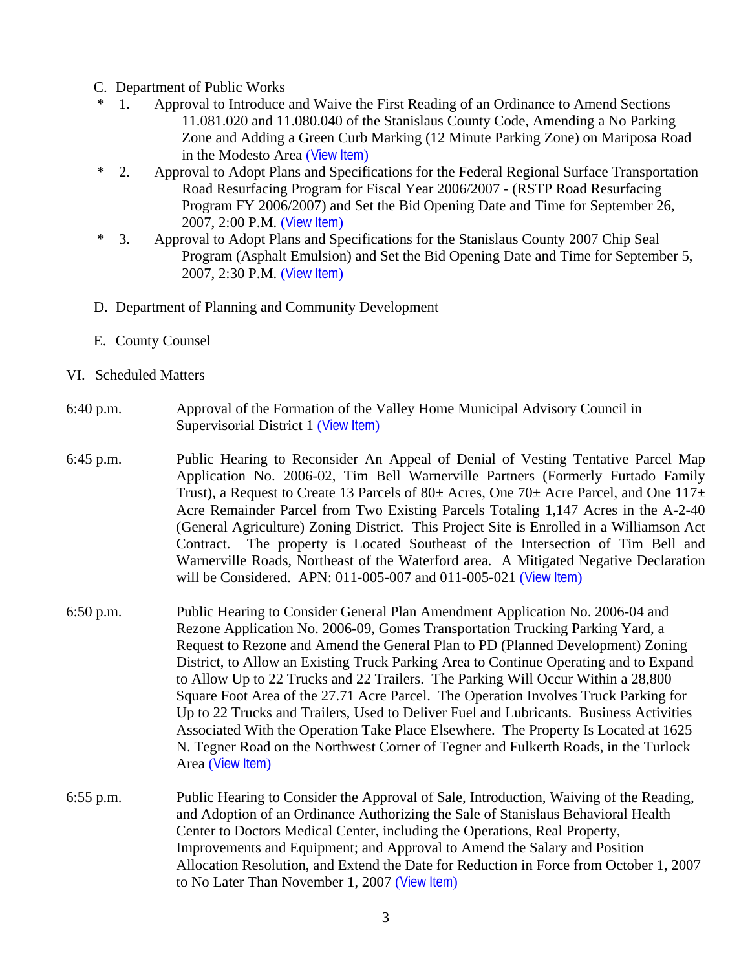- C. Department of Public Works
- \* 1. Approval to Introduce and Waive the First Reading of an Ordinance to Amend Sections 11.081.020 and 11.080.040 of the Stanislaus County Code, Amending a No Parking Zone and Adding a Green Curb Marking (12 Minute Parking Zone) on Mariposa Road in the Modesto Area ([View Item](http://www.co.stanislaus.ca.us/bos/agenda/2007/20070821/C01.pdf))
- \* 2. Approval to Adopt Plans and Specifications for the Federal Regional Surface Transportation Road Resurfacing Program for Fiscal Year 2006/2007 - (RSTP Road Resurfacing Program FY 2006/2007) and Set the Bid Opening Date and Time for September 26, 2007, 2:00 P.M. ([View Item](http://www.co.stanislaus.ca.us/bos/agenda/2007/20070821/C02.pdf))
- \* 3. Approval to Adopt Plans and Specifications for the Stanislaus County 2007 Chip Seal Program (Asphalt Emulsion) and Set the Bid Opening Date and Time for September 5, 2007, 2:30 P.M. ([View Item](http://www.co.stanislaus.ca.us/bos/agenda/2007/20070821/C03.pdf))
- D. Department of Planning and Community Development
- E. County Counsel

## VI. Scheduled Matters

- 6:40 p.m. Approval of the Formation of the Valley Home Municipal Advisory Council in Supervisorial District 1 ([View Item](http://www.co.stanislaus.ca.us/bos/agenda/2007/20070821/PH640.pdf))
- 6:45 p.m. Public Hearing to Reconsider An Appeal of Denial of Vesting Tentative Parcel Map Application No. 2006-02, Tim Bell Warnerville Partners (Formerly Furtado Family Trust), a Request to Create 13 Parcels of 80 $\pm$  Acres, One 70 $\pm$  Acre Parcel, and One 117 $\pm$ Acre Remainder Parcel from Two Existing Parcels Totaling 1,147 Acres in the A-2-40 (General Agriculture) Zoning District. This Project Site is Enrolled in a Williamson Act Contract. The property is Located Southeast of the Intersection of Tim Bell and Warnerville Roads, Northeast of the Waterford area. A Mitigated Negative Declaration will be Considered. APN: 011-005-007 and 011-005-021 ([View Item](http://www.co.stanislaus.ca.us/bos/agenda/2007/20070821/PH645.pdf))
- 6:50 p.m. Public Hearing to Consider General Plan Amendment Application No. 2006-04 and Rezone Application No. 2006-09, Gomes Transportation Trucking Parking Yard, a Request to Rezone and Amend the General Plan to PD (Planned Development) Zoning District, to Allow an Existing Truck Parking Area to Continue Operating and to Expand to Allow Up to 22 Trucks and 22 Trailers. The Parking Will Occur Within a 28,800 Square Foot Area of the 27.71 Acre Parcel. The Operation Involves Truck Parking for Up to 22 Trucks and Trailers, Used to Deliver Fuel and Lubricants. Business Activities Associated With the Operation Take Place Elsewhere. The Property Is Located at 1625 N. Tegner Road on the Northwest Corner of Tegner and Fulkerth Roads, in the Turlock Area ([View Item](http://www.co.stanislaus.ca.us/bos/agenda/2007/20070821/PH650.pdf))
- 6:55 p.m. Public Hearing to Consider the Approval of Sale, Introduction, Waiving of the Reading, and Adoption of an Ordinance Authorizing the Sale of Stanislaus Behavioral Health Center to Doctors Medical Center, including the Operations, Real Property, Improvements and Equipment; and Approval to Amend the Salary and Position Allocation Resolution, and Extend the Date for Reduction in Force from October 1, 2007 to No Later Than November 1, 2007 ([View Item](http://www.co.stanislaus.ca.us/bos/agenda/2007/20070821/PH655.pdf))